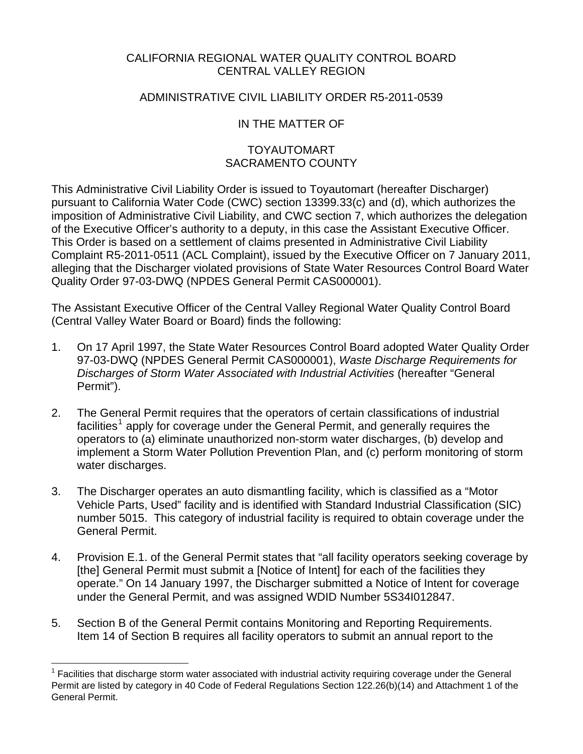### CALIFORNIA REGIONAL WATER QUALITY CONTROL BOARD CENTRAL VALLEY REGION

### ADMINISTRATIVE CIVIL LIABILITY ORDER R5-2011-0539

# IN THE MATTER OF

# TOYAUTOMART SACRAMENTO COUNTY

This Administrative Civil Liability Order is issued to Toyautomart (hereafter Discharger) pursuant to California Water Code (CWC) section 13399.33(c) and (d), which authorizes the imposition of Administrative Civil Liability, and CWC section 7, which authorizes the delegation of the Executive Officer's authority to a deputy, in this case the Assistant Executive Officer. This Order is based on a settlement of claims presented in Administrative Civil Liability Complaint R5-2011-0511 (ACL Complaint), issued by the Executive Officer on 7 January 2011, alleging that the Discharger violated provisions of State Water Resources Control Board Water Quality Order 97-03-DWQ (NPDES General Permit CAS000001).

The Assistant Executive Officer of the Central Valley Regional Water Quality Control Board (Central Valley Water Board or Board) finds the following:

- 1. On 17 April 1997, the State Water Resources Control Board adopted Water Quality Order 97-03-DWQ (NPDES General Permit CAS000001), *Waste Discharge Requirements for Discharges of Storm Water Associated with Industrial Activities* (hereafter "General Permit").
- 2. The General Permit requires that the operators of certain classifications of industrial facilities<sup>[1](#page-0-0)</sup> apply for coverage under the General Permit, and generally requires the operators to (a) eliminate unauthorized non-storm water discharges, (b) develop and implement a Storm Water Pollution Prevention Plan, and (c) perform monitoring of storm water discharges.
- 3. The Discharger operates an auto dismantling facility, which is classified as a "Motor Vehicle Parts, Used" facility and is identified with Standard Industrial Classification (SIC) number 5015. This category of industrial facility is required to obtain coverage under the General Permit.
- 4. Provision E.1. of the General Permit states that "all facility operators seeking coverage by [the] General Permit must submit a [Notice of Intent] for each of the facilities they operate." On 14 January 1997, the Discharger submitted a Notice of Intent for coverage under the General Permit, and was assigned WDID Number 5S34I012847.
- 5. Section B of the General Permit contains Monitoring and Reporting Requirements. Item 14 of Section B requires all facility operators to submit an annual report to the

<u>.</u>

<span id="page-0-0"></span><sup>1</sup> Facilities that discharge storm water associated with industrial activity requiring coverage under the General Permit are listed by category in 40 Code of Federal Regulations Section 122.26(b)(14) and Attachment 1 of the General Permit.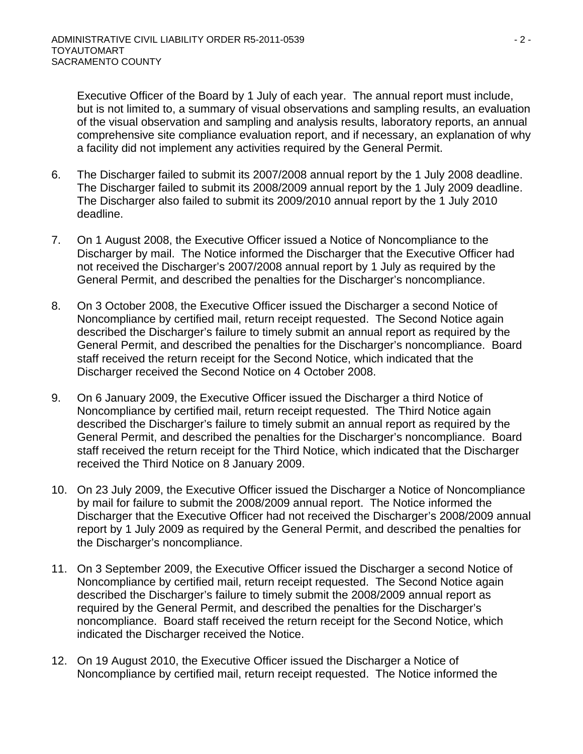Executive Officer of the Board by 1 July of each year. The annual report must include, but is not limited to, a summary of visual observations and sampling results, an evaluation of the visual observation and sampling and analysis results, laboratory reports, an annual comprehensive site compliance evaluation report, and if necessary, an explanation of why a facility did not implement any activities required by the General Permit.

- 6. The Discharger failed to submit its 2007/2008 annual report by the 1 July 2008 deadline. The Discharger failed to submit its 2008/2009 annual report by the 1 July 2009 deadline. The Discharger also failed to submit its 2009/2010 annual report by the 1 July 2010 deadline.
- 7. On 1 August 2008, the Executive Officer issued a Notice of Noncompliance to the Discharger by mail. The Notice informed the Discharger that the Executive Officer had not received the Discharger's 2007/2008 annual report by 1 July as required by the General Permit, and described the penalties for the Discharger's noncompliance.
- 8. On 3 October 2008, the Executive Officer issued the Discharger a second Notice of Noncompliance by certified mail, return receipt requested. The Second Notice again described the Discharger's failure to timely submit an annual report as required by the General Permit, and described the penalties for the Discharger's noncompliance. Board staff received the return receipt for the Second Notice, which indicated that the Discharger received the Second Notice on 4 October 2008.
- 9. On 6 January 2009, the Executive Officer issued the Discharger a third Notice of Noncompliance by certified mail, return receipt requested. The Third Notice again described the Discharger's failure to timely submit an annual report as required by the General Permit, and described the penalties for the Discharger's noncompliance. Board staff received the return receipt for the Third Notice, which indicated that the Discharger received the Third Notice on 8 January 2009.
- 10. On 23 July 2009, the Executive Officer issued the Discharger a Notice of Noncompliance by mail for failure to submit the 2008/2009 annual report. The Notice informed the Discharger that the Executive Officer had not received the Discharger's 2008/2009 annual report by 1 July 2009 as required by the General Permit, and described the penalties for the Discharger's noncompliance.
- 11. On 3 September 2009, the Executive Officer issued the Discharger a second Notice of Noncompliance by certified mail, return receipt requested. The Second Notice again described the Discharger's failure to timely submit the 2008/2009 annual report as required by the General Permit, and described the penalties for the Discharger's noncompliance. Board staff received the return receipt for the Second Notice, which indicated the Discharger received the Notice.
- 12. On 19 August 2010, the Executive Officer issued the Discharger a Notice of Noncompliance by certified mail, return receipt requested. The Notice informed the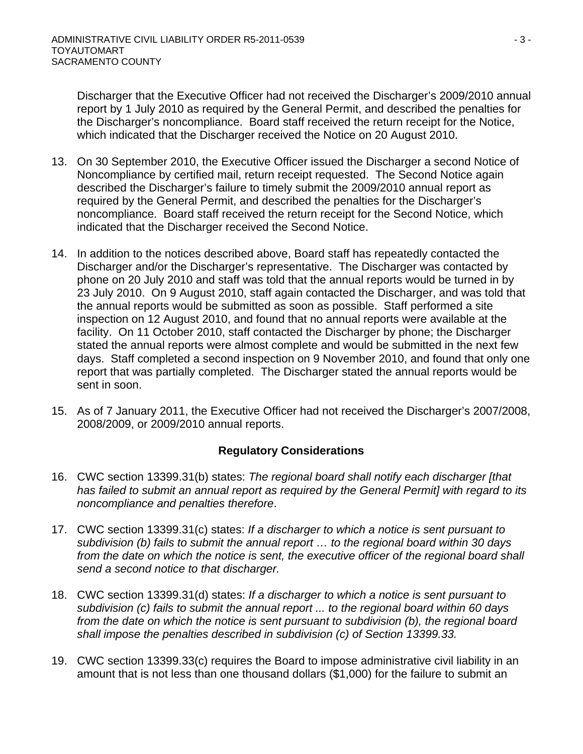Discharger that the Executive Officer had not received the Discharger's 2009/2010 annual report by 1 July 2010 as required by the General Permit, and described the penalties for the Discharger's noncompliance. Board staff received the return receipt for the Notice, which indicated that the Discharger received the Notice on 20 August 2010.

- 13. On 30 September 2010, the Executive Officer issued the Discharger a second Notice of Noncompliance by certified mail, return receipt requested. The Second Notice again described the Discharger's failure to timely submit the 2009/2010 annual report as required by the General Permit, and described the penalties for the Discharger's noncompliance. Board staff received the return receipt for the Second Notice, which indicated that the Discharger received the Second Notice.
- 14. In addition to the notices described above, Board staff has repeatedly contacted the Discharger and/or the Discharger's representative. The Discharger was contacted by phone on 20 July 2010 and staff was told that the annual reports would be turned in by 23 July 2010. On 9 August 2010, staff again contacted the Discharger, and was told that the annual reports would be submitted as soon as possible. Staff performed a site inspection on 12 August 2010, and found that no annual reports were available at the facility. On 11 October 2010, staff contacted the Discharger by phone; the Discharger stated the annual reports were almost complete and would be submitted in the next few days. Staff completed a second inspection on 9 November 2010, and found that only one report that was partially completed. The Discharger stated the annual reports would be sent in soon.
- 15. As of 7 January 2011, the Executive Officer had not received the Discharger's 2007/2008, 2008/2009, or 2009/2010 annual reports.

# **Regulatory Considerations**

- 16. CWC section 13399.31(b) states: *The regional board shall notify each discharger [that has failed to submit an annual report as required by the General Permit] with regard to its noncompliance and penalties therefore*.
- 17. CWC section 13399.31(c) states: *If a discharger to which a notice is sent pursuant to subdivision (b) fails to submit the annual report … to the regional board within 30 days*  from the date on which the notice is sent, the executive officer of the regional board shall *send a second notice to that discharger.*
- 18. CWC section 13399.31(d) states: *If a discharger to which a notice is sent pursuant to subdivision (c) fails to submit the annual report ... to the regional board within 60 days from the date on which the notice is sent pursuant to subdivision (b), the regional board shall impose the penalties described in subdivision (c) of Section 13399.33.*
- 19. CWC section 13399.33(c) requires the Board to impose administrative civil liability in an amount that is not less than one thousand dollars (\$1,000) for the failure to submit an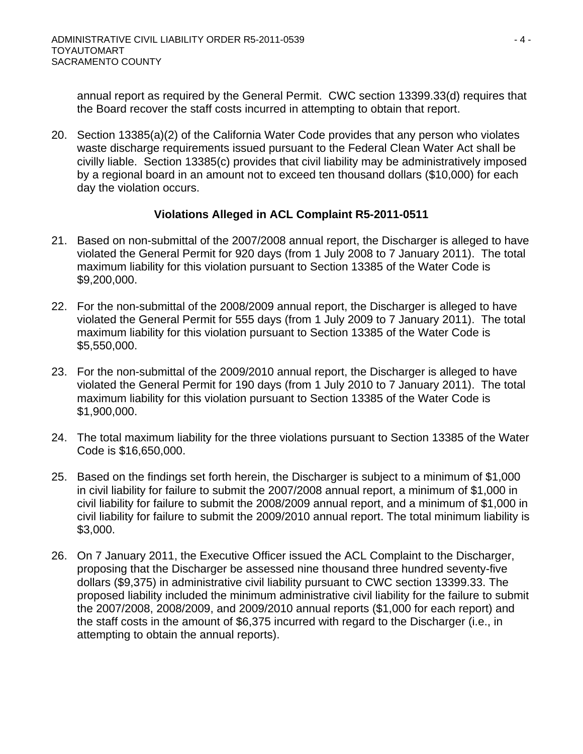annual report as required by the General Permit. CWC section 13399.33(d) requires that the Board recover the staff costs incurred in attempting to obtain that report.

20. Section 13385(a)(2) of the California Water Code provides that any person who violates waste discharge requirements issued pursuant to the Federal Clean Water Act shall be civilly liable. Section 13385(c) provides that civil liability may be administratively imposed by a regional board in an amount not to exceed ten thousand dollars (\$10,000) for each day the violation occurs.

# **Violations Alleged in ACL Complaint R5-2011-0511**

- 21. Based on non-submittal of the 2007/2008 annual report, the Discharger is alleged to have violated the General Permit for 920 days (from 1 July 2008 to 7 January 2011). The total maximum liability for this violation pursuant to Section 13385 of the Water Code is \$9,200,000.
- 22. For the non-submittal of the 2008/2009 annual report, the Discharger is alleged to have violated the General Permit for 555 days (from 1 July 2009 to 7 January 2011). The total maximum liability for this violation pursuant to Section 13385 of the Water Code is \$5,550,000.
- 23. For the non-submittal of the 2009/2010 annual report, the Discharger is alleged to have violated the General Permit for 190 days (from 1 July 2010 to 7 January 2011). The total maximum liability for this violation pursuant to Section 13385 of the Water Code is \$1,900,000.
- 24. The total maximum liability for the three violations pursuant to Section 13385 of the Water Code is \$16,650,000.
- 25. Based on the findings set forth herein, the Discharger is subject to a minimum of \$1,000 in civil liability for failure to submit the 2007/2008 annual report, a minimum of \$1,000 in civil liability for failure to submit the 2008/2009 annual report, and a minimum of \$1,000 in civil liability for failure to submit the 2009/2010 annual report. The total minimum liability is \$3,000.
- 26. On 7 January 2011, the Executive Officer issued the ACL Complaint to the Discharger, proposing that the Discharger be assessed nine thousand three hundred seventy-five dollars (\$9,375) in administrative civil liability pursuant to CWC section 13399.33. The proposed liability included the minimum administrative civil liability for the failure to submit the 2007/2008, 2008/2009, and 2009/2010 annual reports (\$1,000 for each report) and the staff costs in the amount of \$6,375 incurred with regard to the Discharger (i.e., in attempting to obtain the annual reports).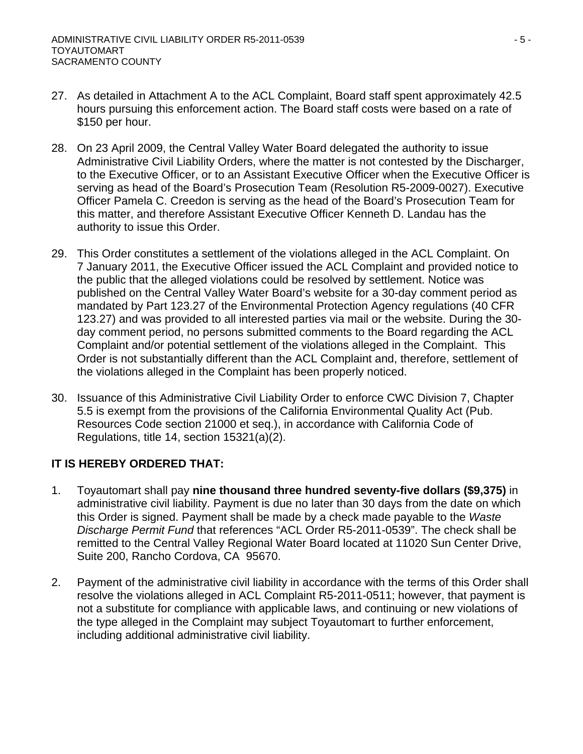- 27. As detailed in Attachment A to the ACL Complaint, Board staff spent approximately 42.5 hours pursuing this enforcement action. The Board staff costs were based on a rate of \$150 per hour.
- 28. On 23 April 2009, the Central Valley Water Board delegated the authority to issue Administrative Civil Liability Orders, where the matter is not contested by the Discharger, to the Executive Officer, or to an Assistant Executive Officer when the Executive Officer is serving as head of the Board's Prosecution Team (Resolution R5-2009-0027). Executive Officer Pamela C. Creedon is serving as the head of the Board's Prosecution Team for this matter, and therefore Assistant Executive Officer Kenneth D. Landau has the authority to issue this Order.
- 29. This Order constitutes a settlement of the violations alleged in the ACL Complaint. On 7 January 2011, the Executive Officer issued the ACL Complaint and provided notice to the public that the alleged violations could be resolved by settlement. Notice was published on the Central Valley Water Board's website for a 30-day comment period as mandated by Part 123.27 of the Environmental Protection Agency regulations (40 CFR 123.27) and was provided to all interested parties via mail or the website. During the 30 day comment period, no persons submitted comments to the Board regarding the ACL Complaint and/or potential settlement of the violations alleged in the Complaint. This Order is not substantially different than the ACL Complaint and, therefore, settlement of the violations alleged in the Complaint has been properly noticed.
- 30. Issuance of this Administrative Civil Liability Order to enforce CWC Division 7, Chapter 5.5 is exempt from the provisions of the California Environmental Quality Act (Pub. Resources Code section 21000 et seq.), in accordance with California Code of Regulations, title 14, section 15321(a)(2).

# **IT IS HEREBY ORDERED THAT:**

- 1. Toyautomart shall pay **nine thousand three hundred seventy-five dollars (\$9,375)** in administrative civil liability. Payment is due no later than 30 days from the date on which this Order is signed. Payment shall be made by a check made payable to the *Waste Discharge Permit Fund* that references "ACL Order R5-2011-0539". The check shall be remitted to the Central Valley Regional Water Board located at 11020 Sun Center Drive, Suite 200, Rancho Cordova, CA 95670.
- 2. Payment of the administrative civil liability in accordance with the terms of this Order shall resolve the violations alleged in ACL Complaint R5-2011-0511; however, that payment is not a substitute for compliance with applicable laws, and continuing or new violations of the type alleged in the Complaint may subject Toyautomart to further enforcement, including additional administrative civil liability.